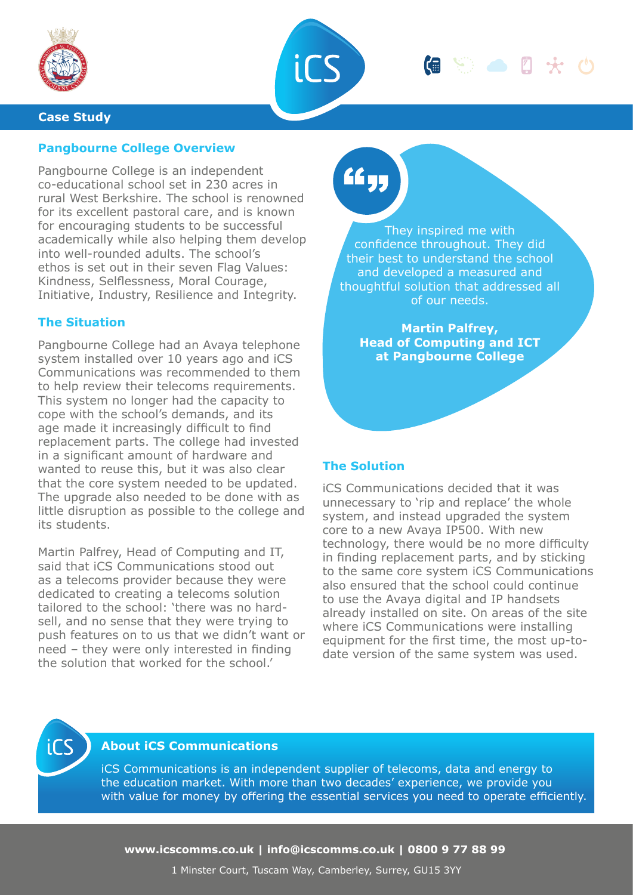



#### **Case Study**

## **Pangbourne College Overview**

Pangbourne College is an independent co-educational school set in 230 acres in rural West Berkshire. The school is renowned for its excellent pastoral care, and is known for encouraging students to be successful academically while also helping them develop into well-rounded adults. The school's ethos is set out in their seven Flag Values: Kindness, Selflessness, Moral Courage, Initiative, Industry, Resilience and Integrity.

### **The Situation**

Pangbourne College had an Avaya telephone system installed over 10 years ago and iCS Communications was recommended to them to help review their telecoms requirements. This system no longer had the capacity to cope with the school's demands, and its age made it increasingly difficult to find replacement parts. The college had invested in a significant amount of hardware and wanted to reuse this, but it was also clear that the core system needed to be updated. The upgrade also needed to be done with as little disruption as possible to the college and its students.

Martin Palfrey, Head of Computing and IT, said that iCS Communications stood out as a telecoms provider because they were dedicated to creating a telecoms solution tailored to the school: 'there was no hardsell, and no sense that they were trying to push features on to us that we didn't want or need – they were only interested in finding the solution that worked for the school.'

# ££ yr

They inspired me with confidence throughout. They did their best to understand the school and developed a measured and thoughtful solution that addressed all of our needs.

**Martin Palfrey, Head of Computing and ICT at Pangbourne College**

#### **The Solution**

iCS Communications decided that it was unnecessary to 'rip and replace' the whole system, and instead upgraded the system core to a new Avaya IP500. With new technology, there would be no more difficulty in finding replacement parts, and by sticking to the same core system iCS Communications also ensured that the school could continue to use the Avaya digital and IP handsets already installed on site. On areas of the site where iCS Communications were installing equipment for the first time, the most up-todate version of the same system was used.



## **About iCS Communications**

iCS Communications is an independent supplier of telecoms, data and energy to the education market. With more than two decades' experience, we provide you with value for money by offering the essential services you need to operate efficiently.

**www.icscomms.co.uk | info@icscomms.co.uk | 0800 9 77 88 99**